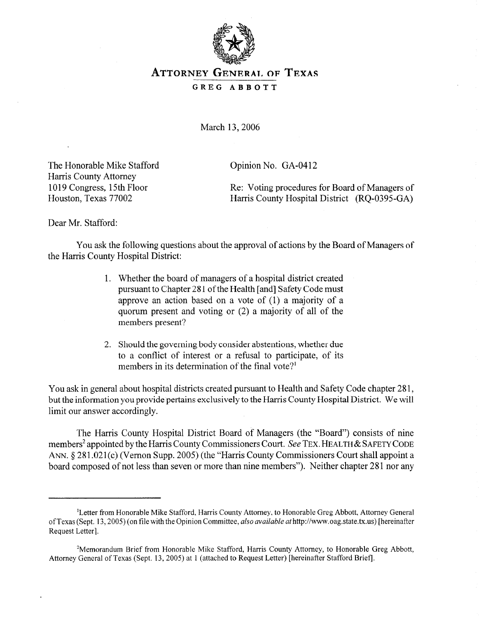

## **ATTORNEY GENERAL OF TEXAS GREG ABBOTT**

March 13,2006

The Honorable Mike Stafford Harris County Attorney 1019 Congress, 15th Floor Houston, Texas 77002

Opinion No. GA-0412

Re: Voting procedures for Board of Managers of Harris County Hospital District (RQ-0395-GA)

Dear Mr. Stafford:

You ask the following questions about the approval of actions by the Board of Managers of the Harris County Hospital District:

- 1. Whether the board of managers of a hospital district created pursuant to Chapter 28 1 of the Health [and] Safety Code must approve an action based on a vote of (1) a majority of a quorum present and voting or (2) a majority of all of the members present?
- 2. Should the governing body consider abstentions, whether due to a conflict of interest or a refusal to participate, of its members in its determination of the final vote?<sup>1</sup>

You ask in general about hospital districts created pursuant to Health and Safety Code chapter 28 1, but the information you provide pertains exclusively to the Harris County Hospital District. We will limit our answer accordingly.

The Harris County Hospital District Board of Managers (the "Board") consists of nine members<sup>2</sup> appointed by the Harris County Commissioners Court. See TEX. HEALTH & SAFETY CODE ANN. § 281.021(c) (Vernon Supp. 2005) (the "Harris County Commissioners Court shall appoint a board composed of not less than seven or more than nine members"). Neither chapter 281 nor any

<sup>&#</sup>x27;Letter from Honorable Mike Stafford, Harris County Attorney, to Honorable Greg Abbott, Attorney General ofTexas (Sept. 13,2005) (on file with the Opinion Committee, *also available* athttp://www.oag.state.tx.us) [hereinafter Request Letter].

<sup>&#</sup>x27;Memorandum Brief from Honorable Mike Stafford, Harris County Attorney, to Honorable Greg Abbott, Attorney General of Texas (Sept. 13,2005) at 1 (attached to Request Letter) [hereinafter Stafford Brief].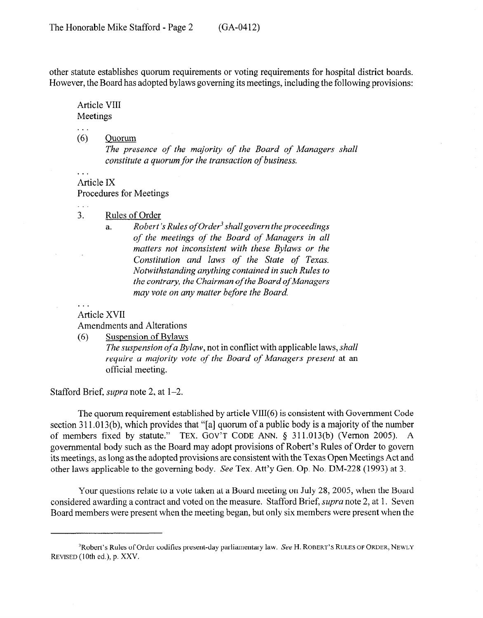other statute establishes quorum requirements or voting requirements for hospital district boards. However, the Board has adopted bylaws governing its meetings, including the following provisions:

Article VIII Meetings

*. . .* 

 $\ddotsc$ 

. . .

 $(6)$ Ouorum

> *The presence of the majority of the Board of Managers shall constitute a quorum for the transaction of business.*

Article IX Procedures for Meetings

3. Rules of Order

a. *Robert 3 Rules of Order3 shall govern the proceedings of the meetings of the Board of Managers in all matters not inconsistent with these Bylaws or the Constitution and laws of the State of Texas. Notwithstanding anything contained in such Rules to the contrary, the Chairman of the Board of Managers may vote on any matter before the Board* 

## *. . .*  Article XVII

Amendments and Alterations

(6) Suspension of Bylaws

*The suspension of a Bylaw,* not in conflict with applicable laws, *shall require a majority vote of the Board of Managers present* at an official meeting.

Stafford Brief, *supra* note 2, at l-2.

The quorum requirement established by article VIII(6) is consistent with Government Code section 311.013(b), which provides that "[a] quorum of a public body is a majority of the number of members fixed by statute." TEX. GOV'T CODE ANN. § 311.013(b) (Vernon 2005). A governmental body such as the Board may adopt provisions of Robert's Rules of Order to govern its meetings, as long as the adopted provisions are consistent with the Texas Open Meetings Act and other laws applicable to the governing body. See Tex. Att'y Gen. Op. No. DM-228 (1993) at 3.

Your questions relate to a vote taken at a Board meeting on July 28,2005, when the Board considered awarding a contract and voted on the measure. Stafford Brief, *supra* note 2, at 1. Seven Board members were present when the meeting began, but only six members were present when the

<sup>3</sup>Robert's Rules of Order codifies present-day parliamentary law. See H. **ROBERT'S RULES OF ORDER, NEWLY REVISED (10th** ed.), p. XXV.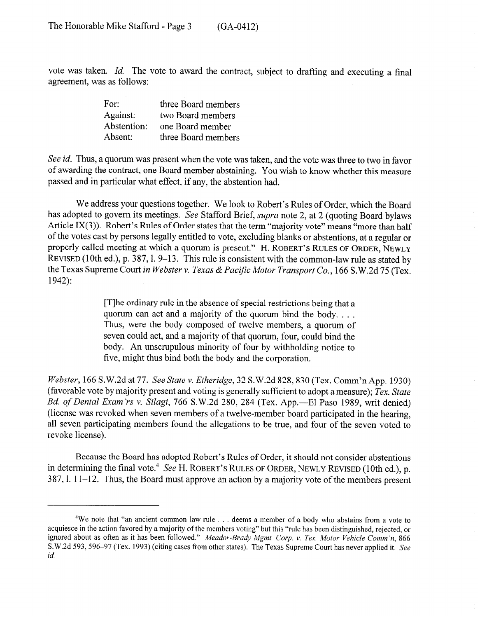vote was taken. Id. The vote to award the contract, subject to drafting and executing a final agreement, was as follows:

| For:        | three Board members |
|-------------|---------------------|
| Against:    | two Board members   |
| Abstention: | one Board member    |
| Absent:     | three Board members |

See *id.* Thus, a quorum was present when the vote was taken, and the vote was three to two in favor of awarding the contract, one Board member abstaining. You wish to know whether this measure passed and in particular what effect, if any, the abstention had.

We address your questions together. We look to Robert's Rules of Order, which the Board has adopted to govern its meetings. See Stafford Brief, *supra* note 2, at 2 (quoting Board bylaws Article IX(3)). Robert's Rules of Order states that the term "majority vote" means "more than half of the votes cast by persons legally entitled to vote, excluding blanks or abstentions, at a regular or properly called meeting at which a quorum is present." H. **ROBERT'S RULES OF ORDER, NEWLY**  REVISED (10th ed.), p. 387, l. 9–13. This rule is consistent with the common-law rule as stated by the Texas Supreme *Court in Webster v. Texas & Paczjk Motor Transport Co.,* 166 S.W.2d 75 (Tex. 1942):

> [T]he ordinary rule in the absence of special restrictions being that a quorum can act and a majority of the quorum bind the body. . . . Thus, were the body composed of twelve members, a quorum of seven could act, and a majority of that quorum, four, could bind the body. An unscrupulous minority of four by withholding notice to five, might thus bind both the body and the corporation.

*Webster,* 166 S.W.2d at *77. See State v. Etheridge,* 32 S.W.2d 828,830 (Tex. Comm'n App. 1930) (favorable vote by majority present and voting is generally sufficient to adopt a measure); *Tex. State Bd. of Dental Exam 'rs v. Silagi,* 766 S.W.2d 280, 284 (Tex. App.-El Paso 1989, writ denied) (license was revoked when seven members of a twelve-member board participated in the hearing, all seven participating members found the allegations to be true, and four of the seven voted to revoke license).

Because the Board has adopted Robert's Rules of Order, it should not consider abstentions in determining the final vote.<sup>4</sup> See H. ROBERT'S RULES OF ORDER, NEWLY REVISED (10th ed.), p. 387,l. 11-12. Thus, the Board must approve an action by a majority vote of the members present

<sup>&</sup>lt;sup>4</sup>We note that "an ancient common law rule . . . deems a member of a body who abstains from a vote to acquiesce in the action favored by a majority of the members voting" but this "rule has been distinguished, rejected, or ignored about as often as it has been followed." *Meador-Brady Mgmt. Corp. v. Tex. Motor Vehicle Comm'n*, 866 S. W.2d 593, 596-97 (Tex. 1993) (citing cases from other states). The Texas Supreme Court has never applied it. See *id.*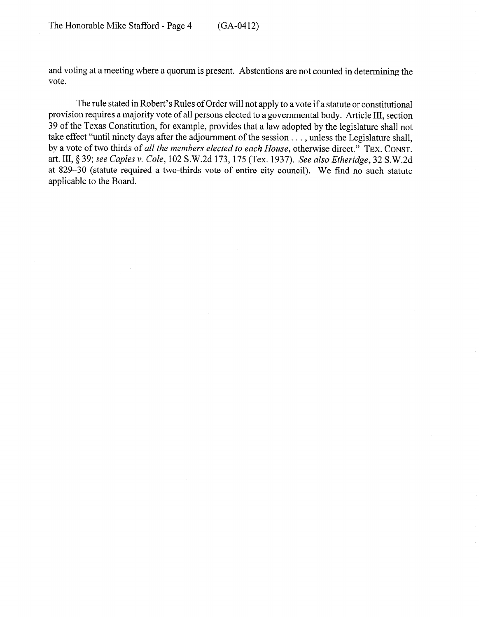and voting at a meeting where a quorum is present. Abstentions are not counted in determining the vote.

The rule stated in Robert's Rules of Order will not apply to a vote if a statute or constitutional provision requires a majority vote of all persons elected to a governmental body. Article III, section 39 of the Texas Constitution, for example, provides that a law adopted by the legislature shall not take effect "until ninety days after the adjournment of the session . . . , unless the Legislature shall, by a vote of two thirds of *all the members elected to each House,* otherwise direct." **TEX. CONST.**  art. III, *8 39; see Caples v. Cole,* 102 S.W.2d 173,175 (Tex. 1937). *See also Etheridge, 32* S.W.2d at 829-30 (statute required a two-thirds vote of entire city council). We find no such statute applicable to the Board.